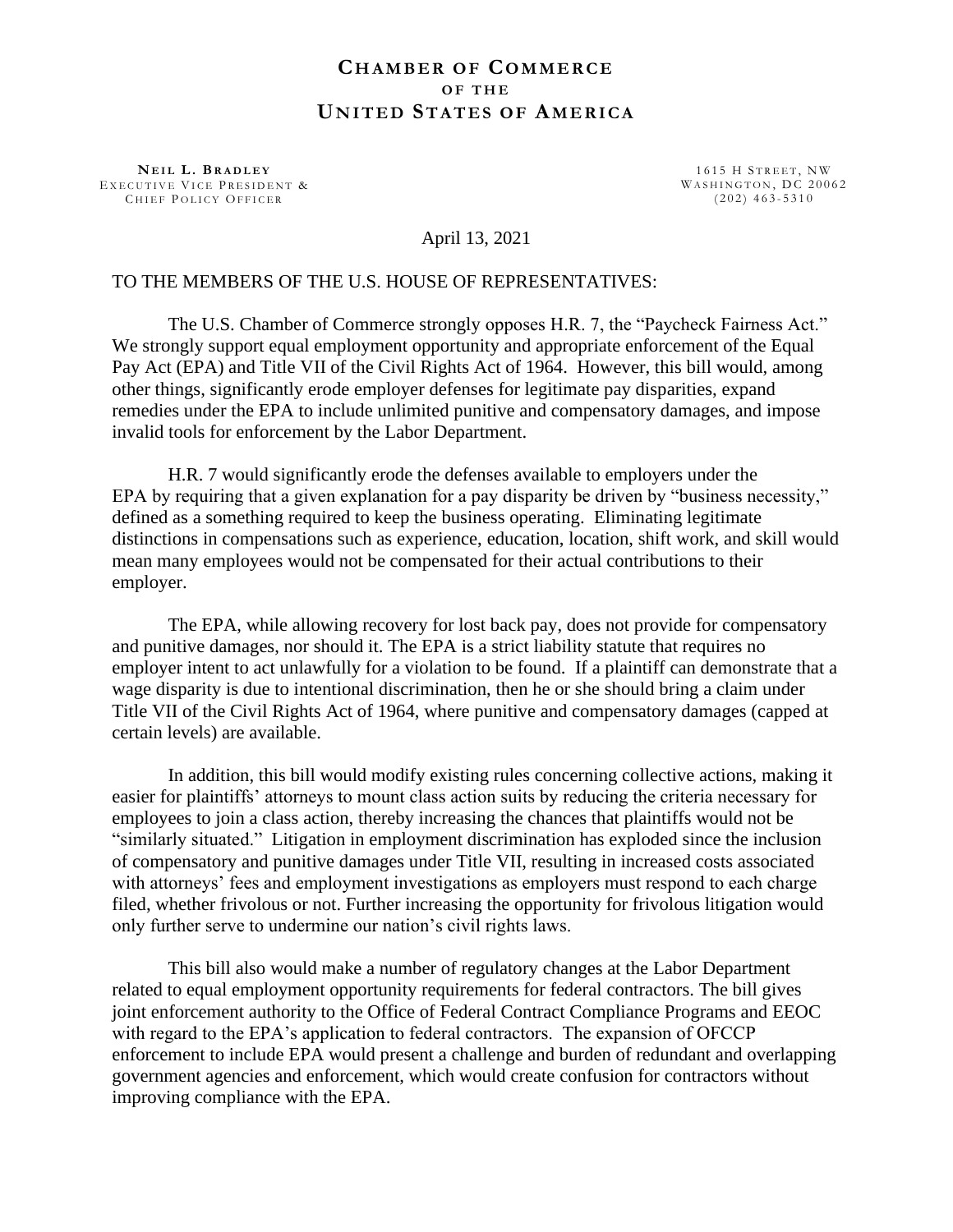## **CH A M B E R O F CO M M E R C E O F T H E UN I T E D ST A T E S O F AM E R I C A**

**N E I L L . B R A D L E Y** EXECUTIVE VICE PRESIDENT & CHIEF POLICY OFFICER

1615 H STREET, NW WASHINGTON, DC 20062  $(202)$  463-5310

## April 13, 2021

## TO THE MEMBERS OF THE U.S. HOUSE OF REPRESENTATIVES:

The U.S. Chamber of Commerce strongly opposes H.R. 7, the "Paycheck Fairness Act." We strongly support equal employment opportunity and appropriate enforcement of the Equal Pay Act (EPA) and Title VII of the Civil Rights Act of 1964. However, this bill would, among other things, significantly erode employer defenses for legitimate pay disparities, expand remedies under the EPA to include unlimited punitive and compensatory damages, and impose invalid tools for enforcement by the Labor Department.

H.R. 7 would significantly erode the defenses available to employers under the EPA by requiring that a given explanation for a pay disparity be driven by "business necessity," defined as a something required to keep the business operating. Eliminating legitimate distinctions in compensations such as experience, education, location, shift work, and skill would mean many employees would not be compensated for their actual contributions to their employer.

The EPA, while allowing recovery for lost back pay, does not provide for compensatory and punitive damages, nor should it. The EPA is a strict liability statute that requires no employer intent to act unlawfully for a violation to be found. If a plaintiff can demonstrate that a wage disparity is due to intentional discrimination, then he or she should bring a claim under Title VII of the Civil Rights Act of 1964, where punitive and compensatory damages (capped at certain levels) are available.

In addition, this bill would modify existing rules concerning collective actions, making it easier for plaintiffs' attorneys to mount class action suits by reducing the criteria necessary for employees to join a class action, thereby increasing the chances that plaintiffs would not be "similarly situated." Litigation in employment discrimination has exploded since the inclusion of compensatory and punitive damages under Title VII, resulting in increased costs associated with attorneys' fees and employment investigations as employers must respond to each charge filed, whether frivolous or not. Further increasing the opportunity for frivolous litigation would only further serve to undermine our nation's civil rights laws.

This bill also would make a number of regulatory changes at the Labor Department related to equal employment opportunity requirements for federal contractors. The bill gives joint enforcement authority to the Office of Federal Contract Compliance Programs and EEOC with regard to the EPA's application to federal contractors. The expansion of OFCCP enforcement to include EPA would present a challenge and burden of redundant and overlapping government agencies and enforcement, which would create confusion for contractors without improving compliance with the EPA.